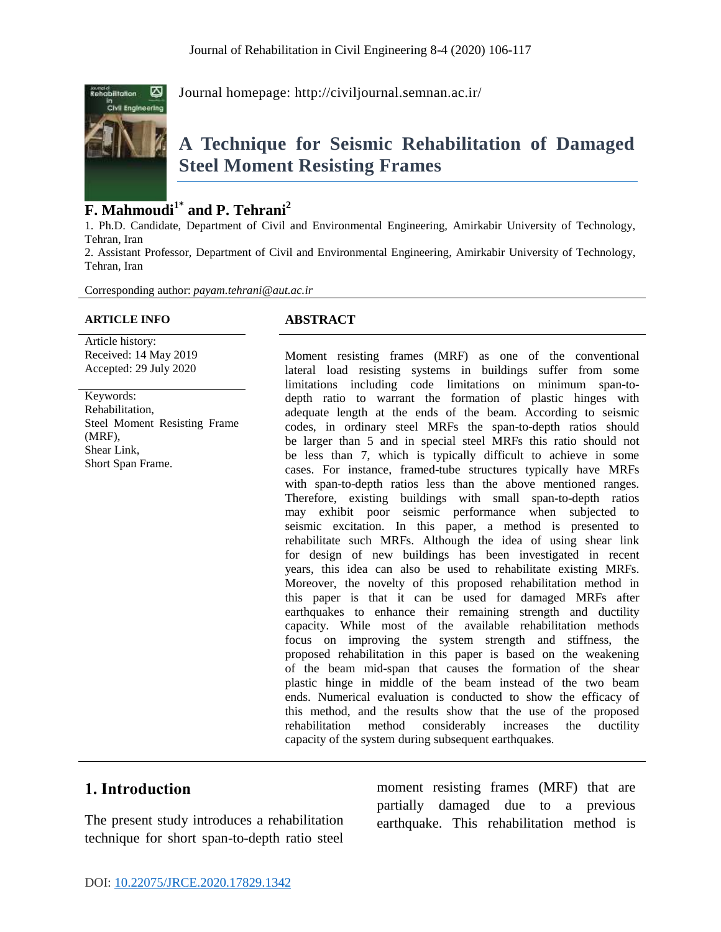

Journal homepage:<http://civiljournal.semnan.ac.ir/>

# **A Technique for Seismic Rehabilitation of Damaged Steel Moment Resisting Frames**

# **F. Mahmoudi1\* and P. Tehrani<sup>2</sup>**

1. Ph.D. Candidate, Department of Civil and Environmental Engineering, Amirkabir University of Technology, Tehran, Iran

2. Assistant Professor, Department of Civil and Environmental Engineering, Amirkabir University of Technology, Tehran, Iran

Corresponding author: *[payam.tehrani@aut.ac.ir](mailto:payam.tehrani@aut.ac.ir)*

#### **ARTICLE INFO ABSTRACT**

Article history: Received: 14 May 2019 Accepted: 29 July 2020

Keywords: Rehabilitation, Steel Moment Resisting Frame (MRF), Shear Link, Short Span Frame.

Moment resisting frames (MRF) as one of the conventional lateral load resisting systems in buildings suffer from some limitations including code limitations on minimum span-todepth ratio to warrant the formation of plastic hinges with adequate length at the ends of the beam. According to seismic codes, in ordinary steel MRFs the span-to-depth ratios should be larger than 5 and in special steel MRFs this ratio should not be less than 7, which is typically difficult to achieve in some cases. For instance, framed-tube structures typically have MRFs with span-to-depth ratios less than the above mentioned ranges. Therefore, existing buildings with small span-to-depth ratios may exhibit poor seismic performance when subjected to seismic excitation. In this paper, a method is presented to rehabilitate such MRFs. Although the idea of using shear link for design of new buildings has been investigated in recent years, this idea can also be used to rehabilitate existing MRFs. Moreover, the novelty of this proposed rehabilitation method in this paper is that it can be used for damaged MRFs after earthquakes to enhance their remaining strength and ductility capacity. While most of the available rehabilitation methods focus on improving the system strength and stiffness, the proposed rehabilitation in this paper is based on the weakening of the beam mid-span that causes the formation of the shear plastic hinge in middle of the beam instead of the two beam ends. Numerical evaluation is conducted to show the efficacy of this method, and the results show that the use of the proposed rehabilitation method considerably increases the ductility capacity of the system during subsequent earthquakes.

# **1. Introduction**

The present study introduces a rehabilitation technique for short span-to-depth ratio steel

moment resisting frames (MRF) that are partially damaged due to a previous earthquake. This rehabilitation method is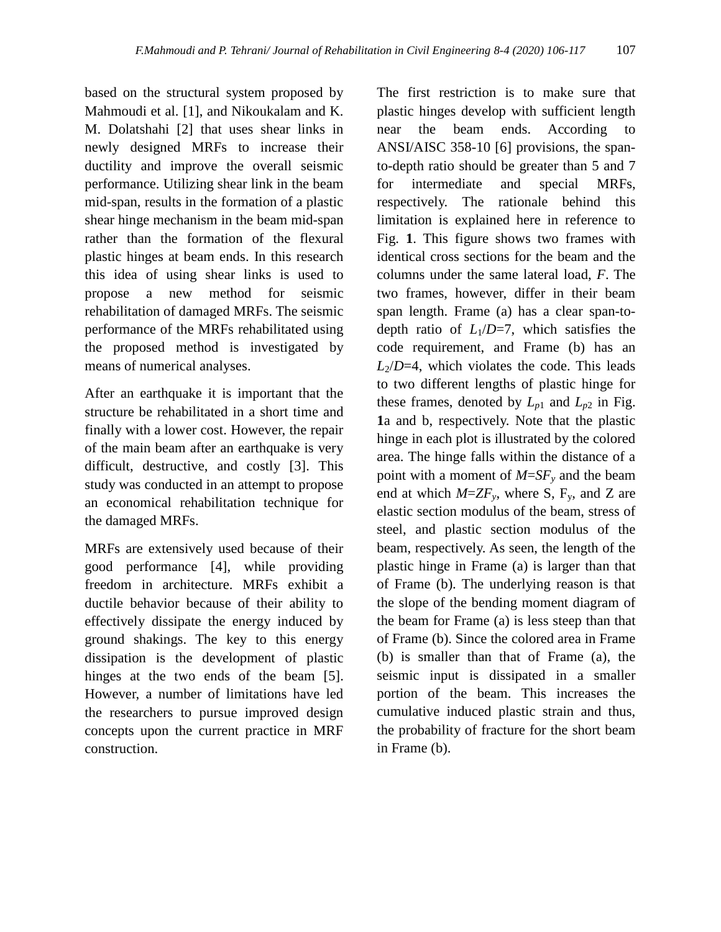based on the structural system proposed by Mahmoudi et al. [1], and Nikoukalam and K. M. Dolatshahi [2] that uses shear links in newly designed MRFs to increase their ductility and improve the overall seismic performance. Utilizing shear link in the beam mid-span, results in the formation of a plastic shear hinge mechanism in the beam mid-span rather than the formation of the flexural plastic hinges at beam ends. In this research this idea of using shear links is used to propose a new method for seismic rehabilitation of damaged MRFs. The seismic performance of the MRFs rehabilitated using the proposed method is investigated by means of numerical analyses.

After an earthquake it is important that the structure be rehabilitated in a short time and finally with a lower cost. However, the repair of the main beam after an earthquake is very difficult, destructive, and costly [3]. This study was conducted in an attempt to propose an economical rehabilitation technique for the damaged MRFs.

MRFs are extensively used because of their good performance [4], while providing freedom in architecture. MRFs exhibit a ductile behavior because of their ability to effectively dissipate the energy induced by ground shakings. The key to this energy dissipation is the development of plastic hinges at the two ends of the beam [5]. However, a number of limitations have led the researchers to pursue improved design concepts upon the current practice in MRF construction.

The first restriction is to make sure that plastic hinges develop with sufficient length near the beam ends. According to ANSI/AISC 358-10 [6] provisions, the spanto-depth ratio should be greater than 5 and 7 for intermediate and special MRFs, respectively. The rationale behind this limitation is explained here in reference to [Fig.](#page-2-0) **1**. This figure shows two frames with identical cross sections for the beam and the columns under the same lateral load, *F*. The two frames, however, differ in their beam span length. Frame (a) has a clear span-todepth ratio of  $L_1/D=7$ , which satisfies the code requirement, and Frame (b) has an  $L_2/D=4$ , which violates the code. This leads to two different lengths of plastic hinge for these frames, denoted by  $L_{p1}$  and  $L_{p2}$  in Fig. **[1](#page-2-0)**a and b, respectively. Note that the plastic hinge in each plot is illustrated by the colored area. The hinge falls within the distance of a point with a moment of *M*=*SF<sup>y</sup>* and the beam end at which  $M=ZF_v$ , where S,  $F_v$ , and Z are elastic section modulus of the beam, stress of steel, and plastic section modulus of the beam, respectively. As seen, the length of the plastic hinge in Frame (a) is larger than that of Frame (b). The underlying reason is that the slope of the bending moment diagram of the beam for Frame (a) is less steep than that of Frame (b). Since the colored area in Frame (b) is smaller than that of Frame (a), the seismic input is dissipated in a smaller portion of the beam. This increases the cumulative induced plastic strain and thus, the probability of fracture for the short beam in Frame (b).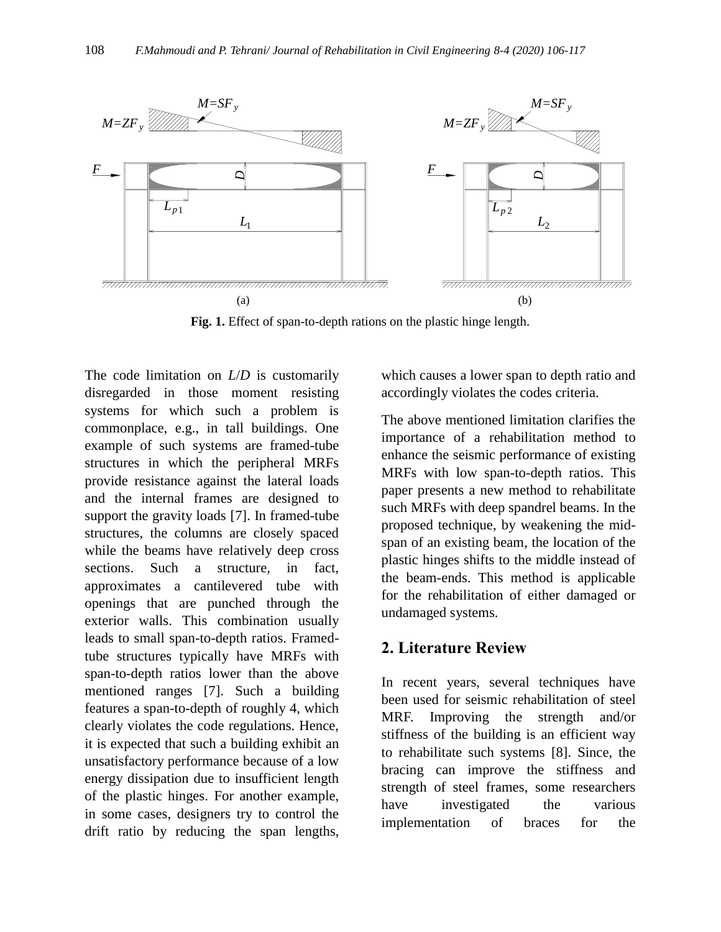

**Fig. 1.** Effect of span-to-depth rations on the plastic hinge length.

<span id="page-2-0"></span>The code limitation on *L*/*D* is customarily disregarded in those moment resisting systems for which such a problem is commonplace, e.g., in tall buildings. One example of such systems are framed-tube structures in which the peripheral MRFs provide resistance against the lateral loads and the internal frames are designed to support the gravity loads [7]. In framed-tube structures, the columns are closely spaced while the beams have relatively deep cross sections. Such a structure, in fact, approximates a cantilevered tube with openings that are punched through the exterior walls. This combination usually leads to small span-to-depth ratios. Framedtube structures typically have MRFs with span-to-depth ratios lower than the above mentioned ranges [7]. Such a building features a span-to-depth of roughly 4, which clearly violates the code regulations. Hence, it is expected that such a building exhibit an unsatisfactory performance because of a low energy dissipation due to insufficient length of the plastic hinges. For another example, in some cases, designers try to control the drift ratio by reducing the span lengths,

which causes a lower span to depth ratio and accordingly violates the codes criteria.

The above mentioned limitation clarifies the importance of a rehabilitation method to enhance the seismic performance of existing MRFs with low span-to-depth ratios. This paper presents a new method to rehabilitate such MRFs with deep spandrel beams. In the proposed technique, by weakening the midspan of an existing beam, the location of the plastic hinges shifts to the middle instead of the beam-ends. This method is applicable for the rehabilitation of either damaged or undamaged systems.

# **2. Literature Review**

In recent years, several techniques have been used for seismic rehabilitation of steel MRF. Improving the strength and/or stiffness of the building is an efficient way to rehabilitate such systems [8]. Since, the bracing can improve the stiffness and strength of steel frames, some researchers have investigated the various implementation of braces for the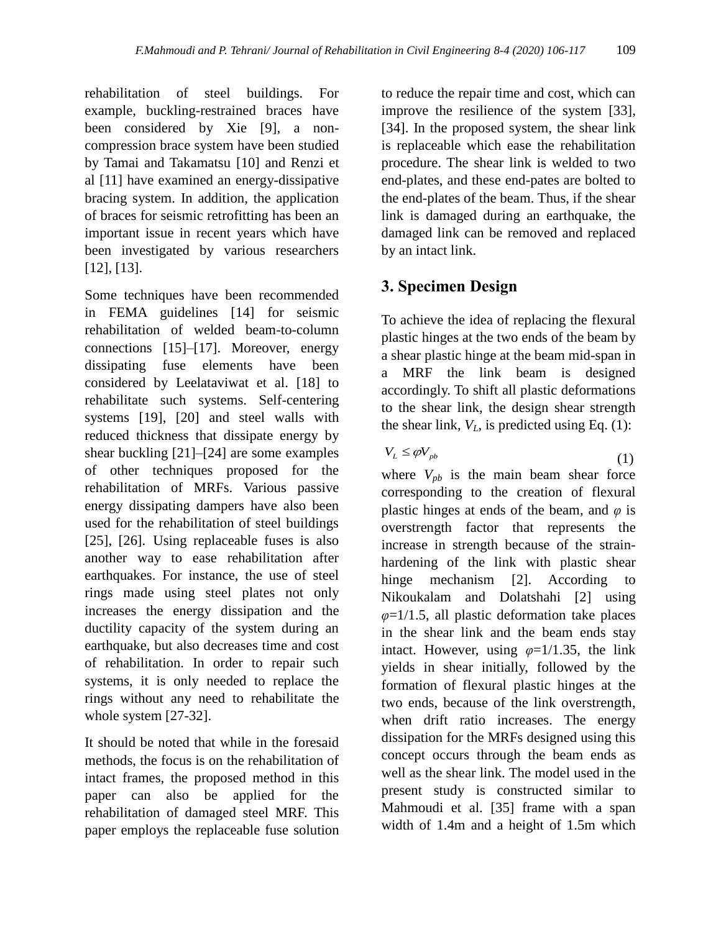rehabilitation of steel buildings. For example, buckling-restrained braces have been considered by Xie [9], a noncompression brace system have been studied by Tamai and Takamatsu [10] and Renzi et al [11] have examined an energy-dissipative bracing system. In addition, the application of braces for seismic retrofitting has been an important issue in recent years which have been investigated by various researchers [12], [13].

Some techniques have been recommended in FEMA guidelines [14] for seismic rehabilitation of welded beam-to-column connections [15]–[17]. Moreover, energy dissipating fuse elements have been considered by Leelataviwat et al. [18] to rehabilitate such systems. Self-centering systems [19], [20] and steel walls with reduced thickness that dissipate energy by shear buckling [21]–[24] are some examples of other techniques proposed for the rehabilitation of MRFs. Various passive energy dissipating dampers have also been used for the rehabilitation of steel buildings [25], [26]. Using replaceable fuses is also another way to ease rehabilitation after earthquakes. For instance, the use of steel rings made using steel plates not only increases the energy dissipation and the ductility capacity of the system during an earthquake, but also decreases time and cost of rehabilitation. In order to repair such systems, it is only needed to replace the rings without any need to rehabilitate the whole system [27-32].

It should be noted that while in the foresaid methods, the focus is on the rehabilitation of intact frames, the proposed method in this paper can also be applied for the rehabilitation of damaged steel MRF. This paper employs the replaceable fuse solution to reduce the repair time and cost, which can improve the resilience of the system [33], [34]. In the proposed system, the shear link is replaceable which ease the rehabilitation procedure. The shear link is welded to two end-plates, and these end-pates are bolted to the end-plates of the beam. Thus, if the shear link is damaged during an earthquake, the damaged link can be removed and replaced by an intact link.

# **3. Specimen Design**

To achieve the idea of replacing the flexural plastic hinges at the two ends of the beam by a shear plastic hinge at the beam mid-span in a MRF the link beam is designed accordingly. To shift all plastic deformations to the shear link, the design shear strength the shear link,  $V_L$ , is predicted using Eq. (1):

$$
V_L \le \varphi V_{pb} \tag{1}
$$

where  $V_{pb}$  is the main beam shear force corresponding to the creation of flexural plastic hinges at ends of the beam, and *φ* is overstrength factor that represents the increase in strength because of the strainhardening of the link with plastic shear hinge mechanism [2]. According to Nikoukalam and Dolatshahi [2] using *φ*=1/1.5, all plastic deformation take places in the shear link and the beam ends stay intact. However, using  $\varphi = 1/1.35$ , the link yields in shear initially, followed by the formation of flexural plastic hinges at the two ends, because of the link overstrength, when drift ratio increases. The energy dissipation for the MRFs designed using this concept occurs through the beam ends as well as the shear link. The model used in the present study is constructed similar to Mahmoudi et al. [35] frame with a span width of 1.4m and a height of 1.5m which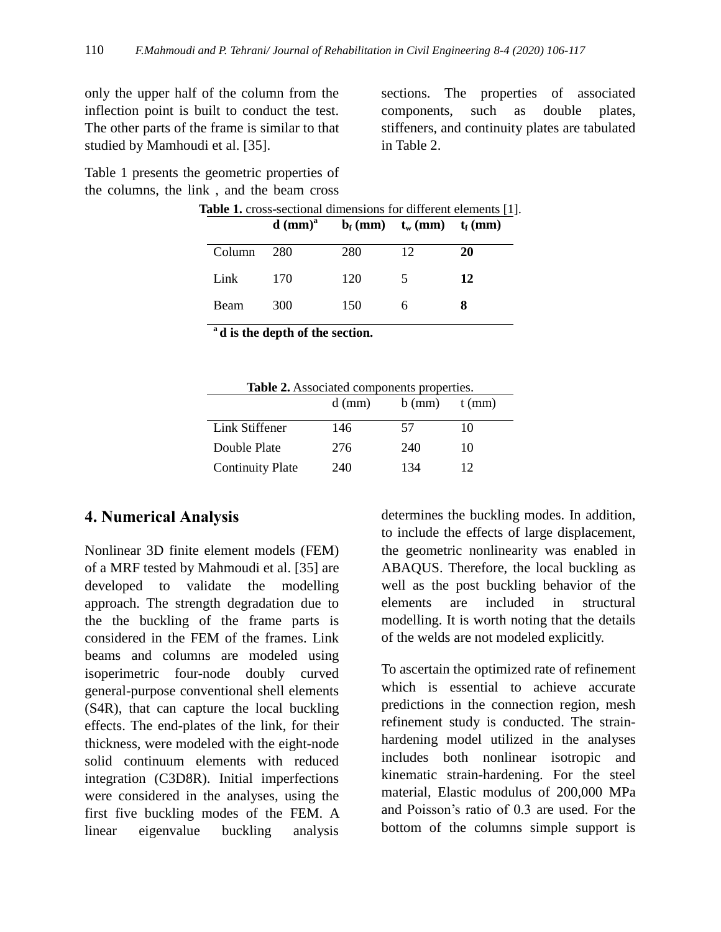only the upper half of the column from the inflection point is built to conduct the test. The other parts of the frame is similar to that studied by Mamhoudi et al. [35].

<span id="page-4-0"></span>[Table 1](#page-4-0) presents the geometric properties of the columns, the link , and the beam cross

sections. The properties of associated components, such as double plates, stiffeners, and continuity plates are tabulated in [Table 2.](#page-4-1)

| <b>Table 1.</b> cross-sectional dimensions for different elements [1]. |        |                       |     |                                                                                              |    |  |
|------------------------------------------------------------------------|--------|-----------------------|-----|----------------------------------------------------------------------------------------------|----|--|
|                                                                        |        | $d$ (mm) <sup>a</sup> |     | $\mathbf{b}_{\mathrm{f}}$ (mm) $\mathbf{t}_{\mathrm{w}}$ (mm) $\mathbf{t}_{\mathrm{f}}$ (mm) |    |  |
|                                                                        | Column | 280                   | 280 | 12                                                                                           | 20 |  |
|                                                                        | Link   | 170                   | 120 | 5                                                                                            | 12 |  |
|                                                                        | Beam   | 300                   | 150 | 6                                                                                            |    |  |
|                                                                        |        |                       |     |                                                                                              |    |  |

**a d is the depth of the section.**

<span id="page-4-1"></span>

| <b>Table 2.</b> Associated components properties. |          |          |          |  |
|---------------------------------------------------|----------|----------|----------|--|
|                                                   | $d$ (mm) | $b$ (mm) | $t$ (mm) |  |
| Link Stiffener                                    | 146      | 57       | 10       |  |
| Double Plate                                      | 276      | 240      | 10       |  |
| <b>Continuity Plate</b>                           | 240      | 134      | 12       |  |

# **4. Numerical Analysis**

Nonlinear 3D finite element models (FEM) of a MRF tested by Mahmoudi et al. [35] are developed to validate the modelling approach. The strength degradation due to the the buckling of the frame parts is considered in the FEM of the frames. Link beams and columns are modeled using isoperimetric four-node doubly curved general-purpose conventional shell elements (S4R), that can capture the local buckling effects. The end-plates of the link, for their thickness, were modeled with the eight-node solid continuum elements with reduced integration (C3D8R). Initial imperfections were considered in the analyses, using the first five buckling modes of the FEM. A linear eigenvalue buckling analysis

determines the buckling modes. In addition, to include the effects of large displacement, the geometric nonlinearity was enabled in ABAQUS. Therefore, the local buckling as well as the post buckling behavior of the elements are included in structural modelling. It is worth noting that the details of the welds are not modeled explicitly.

To ascertain the optimized rate of refinement which is essential to achieve accurate predictions in the connection region, mesh refinement study is conducted. The strainhardening model utilized in the analyses includes both nonlinear isotropic and kinematic strain-hardening. For the steel material, Elastic modulus of 200,000 MPa and Poisson's ratio of 0.3 are used. For the bottom of the columns simple support is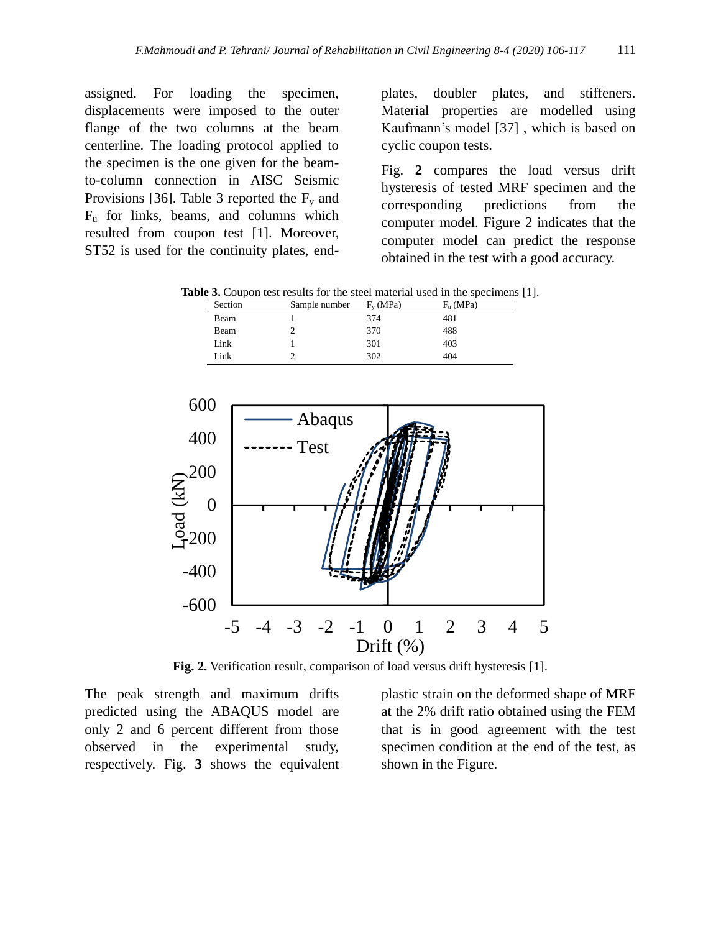assigned. For loading the specimen, displacements were imposed to the outer flange of the two columns at the beam centerline. The loading protocol applied to the specimen is the one given for the beamto-column connection in AISC Seismic Provisions [36]. [Table 3](#page-5-0) reported the  $F_v$  and  $F<sub>u</sub>$  for links, beams, and columns which resulted from coupon test [1]. Moreover, ST52 is used for the continuity plates, endplates, doubler plates, and stiffeners. Material properties are modelled using Kaufmann's model [37] , which is based on cyclic coupon tests.

[Fig.](#page-5-1) **2** compares the load versus drift hysteresis of tested MRF specimen and the corresponding predictions from the computer model. Figure 2 indicates that the computer model can predict the response obtained in the test with a good accuracy.

<span id="page-5-0"></span>**Table 3.** Coupon test results for the steel material used in the specimens [1].

| Section | Sample number | $F_v(MPa)$ | $F_n$ (MPa) |
|---------|---------------|------------|-------------|
| Beam    |               | 374        | 481         |
| Beam    |               | 370        | 488         |
| Link    |               | 301        | 403         |
| Link    |               | 302        | 404         |



**Fig. 2.** Verification result, comparison of load versus drift hysteresis [1].

<span id="page-5-1"></span>The peak strength and maximum drifts predicted using the ABAQUS model are only 2 and 6 percent different from those observed in the experimental study, respectively. [Fig.](#page-6-0) **3** shows the equivalent plastic strain on the deformed shape of MRF at the 2% drift ratio obtained using the FEM that is in good agreement with the test specimen condition at the end of the test, as shown in the Figure.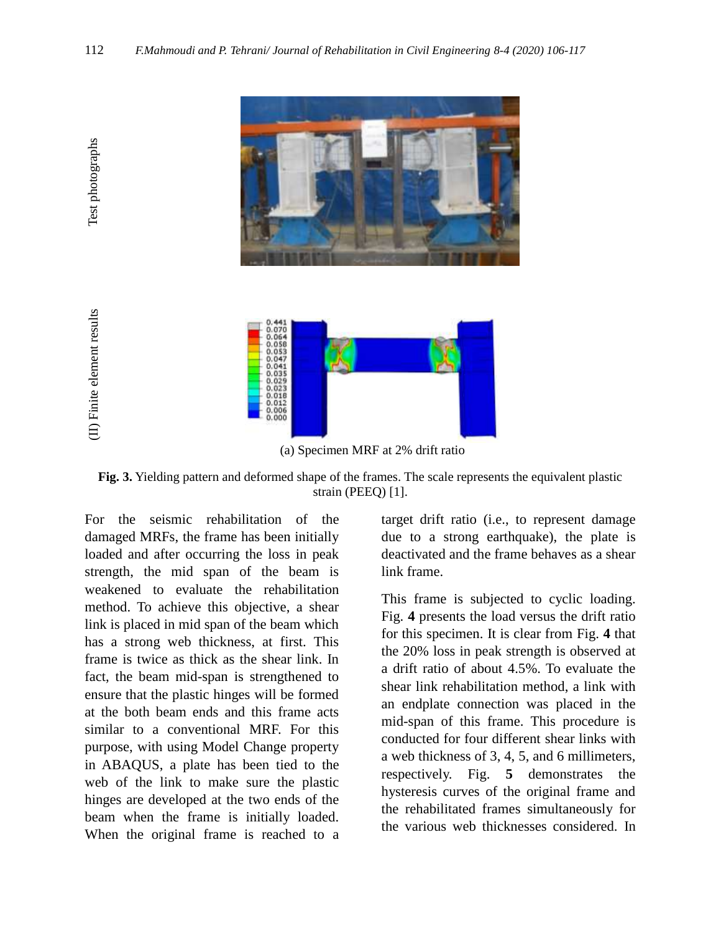

(a) Specimen MRF at 2% drift ratio

<span id="page-6-0"></span>**Fig. 3.** Yielding pattern and deformed shape of the frames. The scale represents the equivalent plastic strain (PEEQ) [1].

For the seismic rehabilitation of the damaged MRFs, the frame has been initially loaded and after occurring the loss in peak strength, the mid span of the beam is weakened to evaluate the rehabilitation method. To [achieve this objective,](https://www.powerthesaurus.org/achieve_this_objective/synonyms) a shear link is placed in mid span of the beam which has a strong web thickness, at first. This frame is twice as thick as the shear link. In fact, the beam mid-span is strengthened to ensure that the plastic hinges will be formed at the both beam ends and this frame acts similar to a conventional MRF. For this purpose, with using Model Change property in ABAQUS, a plate has been tied to the web of the link to make sure the plastic hinges are developed at the two ends of the beam when the frame is initially loaded. When the original frame is reached to a

Test photographs

Test photographs

(II) Finite element results

(II) Finite element results

target drift ratio (i.e., to represent damage due to a strong earthquake), the plate is deactivated and the frame behaves as a shear link frame.

This frame is subjected to cyclic loading. [Fig.](#page-7-0) **4** presents the load versus the drift ratio for this specimen. It is clear from [Fig.](#page-7-0) **4** that the 20% loss in peak strength is observed at a drift ratio of about 4.5%. To evaluate the shear link rehabilitation method, a link with an endplate connection was placed in the mid-span of this frame. This procedure is conducted for four different shear links with a web thickness of 3, 4, 5, and 6 millimeters, respectively. [Fig.](#page-8-0) **5** demonstrates the hysteresis curves of the original frame and the rehabilitated frames simultaneously for the various web thicknesses considered. In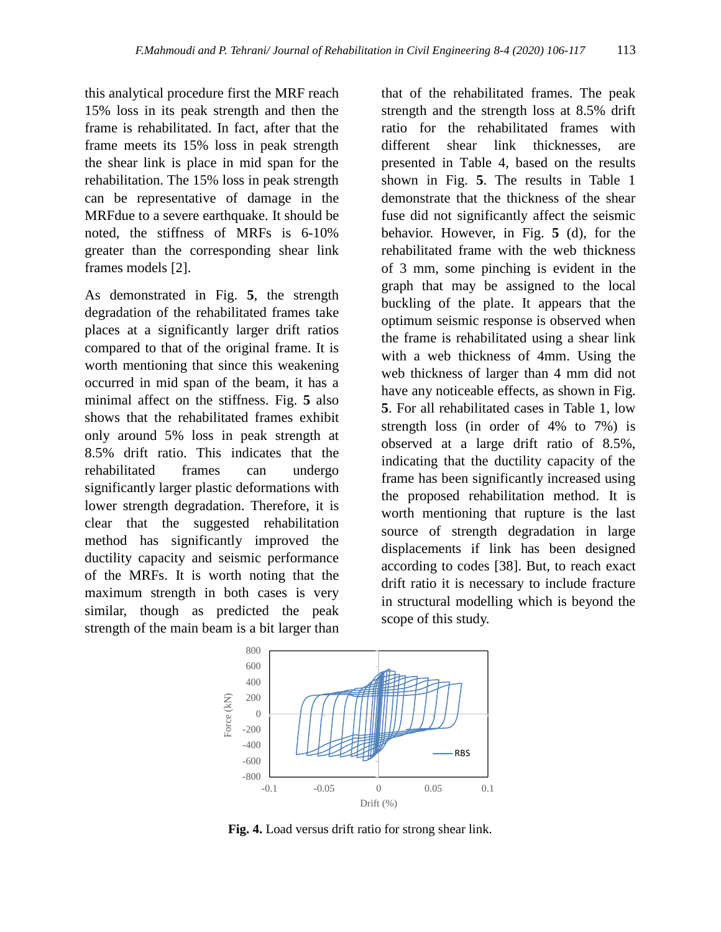this analytical procedure first the MRF reach 15% loss in its peak strength and then the frame is rehabilitated. In fact, after that the frame meets its 15% loss in peak strength the shear link is place in mid span for the rehabilitation. The 15% loss in peak strength can be representative of damage in the MRFdue to a severe earthquake. [It should be](https://www.powerthesaurus.org/it_should_be_noted/synonyms)  [noted,](https://www.powerthesaurus.org/it_should_be_noted/synonyms) the stiffness of MRFs is 6-10% greater than the corresponding shear link frames models [2].

As demonstrated in [Fig.](#page-8-0) **5**, the strength degradation of the rehabilitated frames take places at a significantly larger drift ratios compared to that of the original frame. It is worth mentioning that since this weakening occurred in mid span of the beam, it has a minimal affect on the stiffness. [Fig.](#page-8-0) **5** also shows that the rehabilitated frames exhibit only around 5% loss in peak strength at 8.5% drift ratio. This indicates that the rehabilitated frames can undergo significantly larger plastic deformations with lower strength degradation. Therefore, it is clear that the suggested rehabilitation method has significantly improved the ductility capacity and seismic performance of the MRFs. It is worth noting that the maximum strength in both cases is very similar, though as predicted the peak strength of the main beam is a bit larger than

that of the rehabilitated frames. The peak strength and the strength loss at 8.5% drift ratio for the rehabilitated frames with different shear link thicknesses, are presented in [Table 4,](#page-8-1) based on the results shown in [Fig.](#page-8-0) **5**. The results in Table 1 demonstrate that the thickness of the shear fuse did not significantly affect the seismic behavior. However, in [Fig.](#page-8-0) **5** (d), for the rehabilitated frame with the web thickness of 3 mm, some pinching is evident in the graph that may be assigned to the local buckling of the plate. It appears that the optimum seismic response is observed when the frame is rehabilitated using a shear link with a web thickness of 4mm. Using the web thickness of larger than 4 mm did not have any noticeable effects, as shown in [Fig.](#page-8-0)  **[5](#page-8-0)**. For all rehabilitated cases in Table 1, low strength loss (in order of 4% to 7%) is observed at a large drift ratio of 8.5%, indicating that the ductility capacity of the frame has been significantly increased using the proposed rehabilitation method. It is worth mentioning that rupture is the last source of strength degradation in large displacements if link has been designed according to codes [38]. But, to reach exact drift ratio it is necessary to include fracture in structural modelling which is beyond the scope of this study.



<span id="page-7-0"></span>**Fig. 4.** Load versus drift ratio for strong shear link.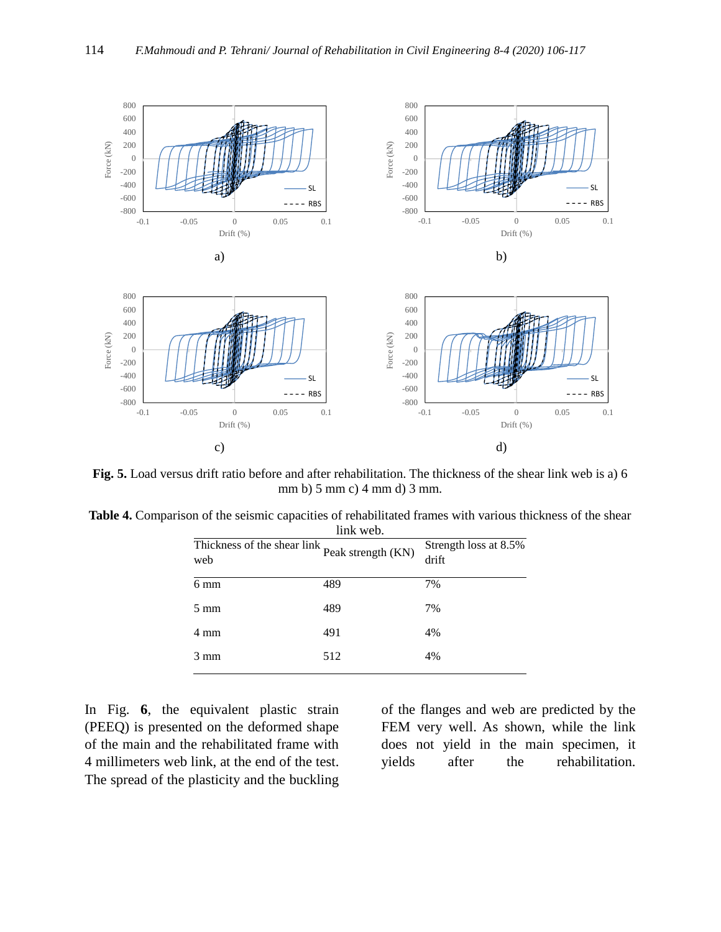

<span id="page-8-0"></span>**Fig. 5.** Load versus drift ratio before and after rehabilitation. The thickness of the shear link web is a) 6 mm b) 5 mm c) 4 mm d) 3 mm.

<span id="page-8-1"></span>

| <b>Table 4.</b> Comparison of the seismic capacities of rehabilitated frames with various thickness of the shear |
|------------------------------------------------------------------------------------------------------------------|
| link web.                                                                                                        |

| $\mathbf{u}$                        |                    |                                |  |  |  |  |
|-------------------------------------|--------------------|--------------------------------|--|--|--|--|
| Thickness of the shear link,<br>web | Peak strength (KN) | Strength loss at 8.5%<br>drift |  |  |  |  |
| 6 mm                                | 489                | 7%                             |  |  |  |  |
| $5 \text{ mm}$                      | 489                | 7%                             |  |  |  |  |
| 4 mm                                | 491                | 4%                             |  |  |  |  |
| $3 \text{ mm}$                      | 512                | 4%                             |  |  |  |  |
|                                     |                    |                                |  |  |  |  |

In [Fig.](#page-9-0) **6**, the equivalent plastic strain (PEEQ) is presented on the deformed shape of the main and the rehabilitated frame with 4 millimeters web link, at the end of the test. The spread of the plasticity and the buckling

of the flanges and web are predicted by the FEM very well. As shown, while the link does not yield in the main specimen, it yields after the rehabilitation.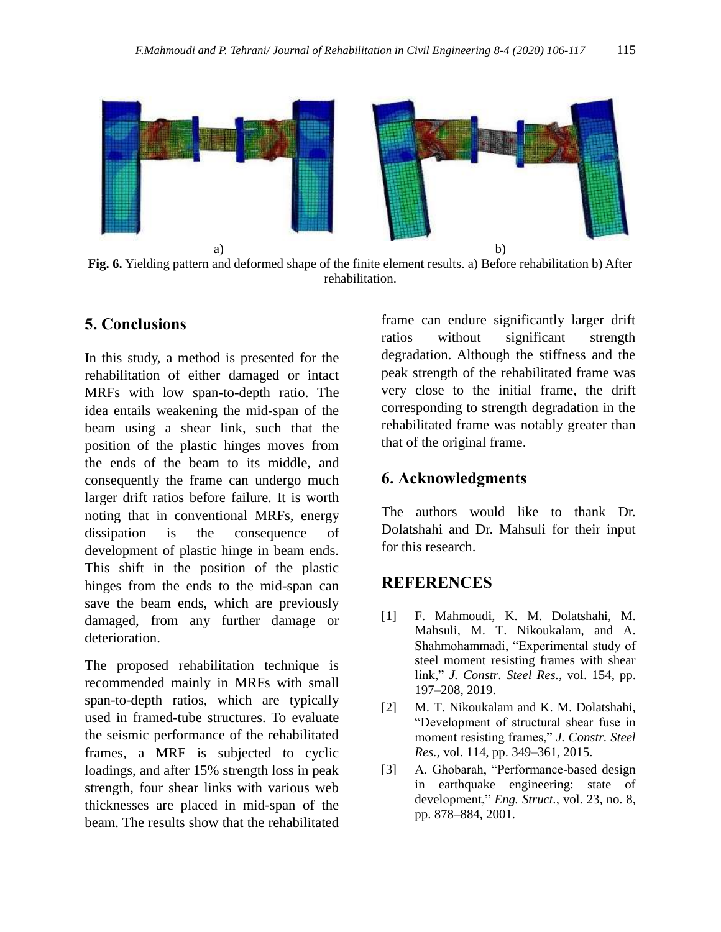

<span id="page-9-0"></span>**Fig. 6.** Yielding pattern and deformed shape of the finite element results. a) Before rehabilitation b) After rehabilitation.

# **5. Conclusions**

In this study, a method is presented for the rehabilitation of either damaged or intact MRFs with low span-to-depth ratio. The idea entails weakening the mid-span of the beam using a shear link, such that the position of the plastic hinges moves from the ends of the beam to its middle, and consequently the frame can undergo much larger drift ratios before failure. It is worth noting that in conventional MRFs, energy dissipation is the consequence of development of plastic hinge in beam ends. This shift in the position of the plastic hinges from the ends to the mid-span can save the beam ends, which are previously damaged, from any further damage or deterioration.

The proposed rehabilitation technique is recommended mainly in MRFs with small span-to-depth ratios, which are typically used in framed-tube structures. To evaluate the seismic performance of the rehabilitated frames, a MRF is subjected to cyclic loadings, and after 15% strength loss in peak strength, four shear links with various web thicknesses are placed in mid-span of the beam. The results show that the rehabilitated

frame can endure significantly larger drift ratios without significant strength degradation. Although the stiffness and the peak strength of the rehabilitated frame was very close to the initial frame, the drift corresponding to strength degradation in the rehabilitated frame was notably greater than that of the original frame.

#### **6. Acknowledgments**

The authors would like to thank Dr. Dolatshahi and Dr. Mahsuli for their input for this research.

## **REFERENCES**

- [1] F. Mahmoudi, K. M. Dolatshahi, M. Mahsuli, M. T. Nikoukalam, and A. Shahmohammadi, "Experimental study of steel moment resisting frames with shear link," *J. Constr. Steel Res.*, vol. 154, pp. 197–208, 2019.
- [2] M. T. Nikoukalam and K. M. Dolatshahi, "Development of structural shear fuse in moment resisting frames," *J. Constr. Steel Res.*, vol. 114, pp. 349–361, 2015.
- [3] A. Ghobarah, "Performance-based design in earthquake engineering: state of development," *Eng. Struct.*, vol. 23, no. 8, pp. 878–884, 2001.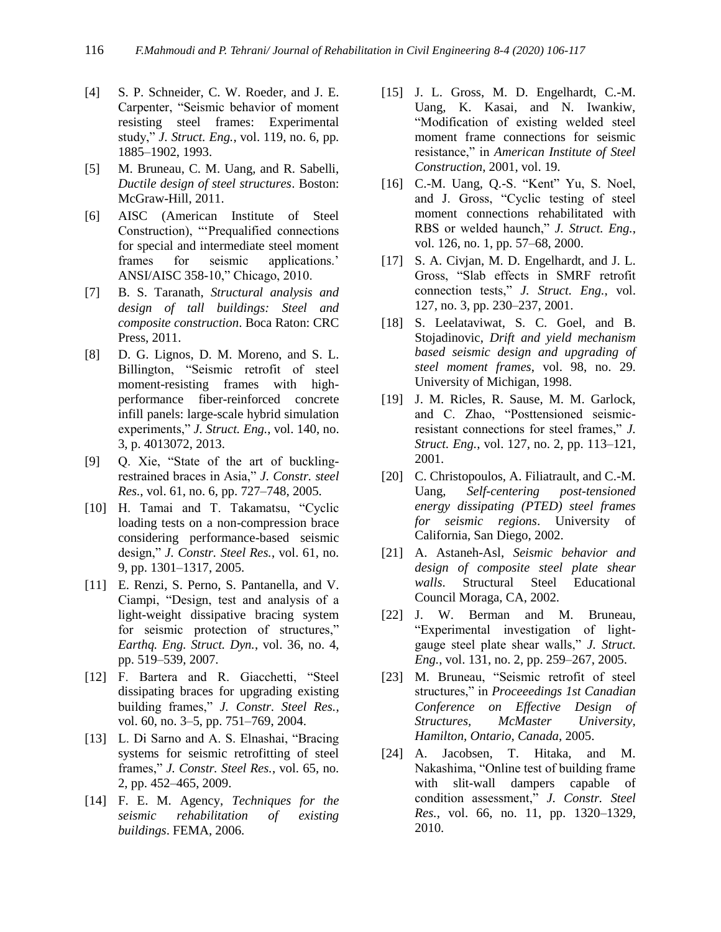- [4] S. P. Schneider, C. W. Roeder, and J. E. Carpenter, "Seismic behavior of moment resisting steel frames: Experimental study," *J. Struct. Eng.*, vol. 119, no. 6, pp. 1885–1902, 1993.
- [5] M. Bruneau, C. M. Uang, and R. Sabelli, *Ductile design of steel structures*. Boston: McGraw-Hill, 2011.
- [6] AISC (American Institute of Steel Construction), "'Prequalified connections for special and intermediate steel moment frames for seismic applications.' ANSI/AISC 358-10," Chicago, 2010.
- [7] B. S. Taranath, *Structural analysis and design of tall buildings: Steel and composite construction*. Boca Raton: CRC Press, 2011.
- [8] D. G. Lignos, D. M. Moreno, and S. L. Billington, "Seismic retrofit of steel moment-resisting frames with highperformance fiber-reinforced concrete infill panels: large-scale hybrid simulation experiments," *J. Struct. Eng.*, vol. 140, no. 3, p. 4013072, 2013.
- [9] Q. Xie, "State of the art of bucklingrestrained braces in Asia," *J. Constr. steel Res.*, vol. 61, no. 6, pp. 727–748, 2005.
- [10] H. Tamai and T. Takamatsu, "Cyclic loading tests on a non-compression brace considering performance-based seismic design," *J. Constr. Steel Res.*, vol. 61, no. 9, pp. 1301–1317, 2005.
- [11] E. Renzi, S. Perno, S. Pantanella, and V. Ciampi, "Design, test and analysis of a light-weight dissipative bracing system for seismic protection of structures," *Earthq. Eng. Struct. Dyn.*, vol. 36, no. 4, pp. 519–539, 2007.
- [12] F. Bartera and R. Giacchetti, "Steel dissipating braces for upgrading existing building frames," *J. Constr. Steel Res.*, vol. 60, no. 3–5, pp. 751–769, 2004.
- [13] L. Di Sarno and A. S. Elnashai, "Bracing systems for seismic retrofitting of steel frames," *J. Constr. Steel Res.*, vol. 65, no. 2, pp. 452–465, 2009.
- [14] F. E. M. Agency, *Techniques for the seismic rehabilitation of existing buildings*. FEMA, 2006.
- [15] J. L. Gross, M. D. Engelhardt, C.-M. Uang, K. Kasai, and N. Iwankiw, "Modification of existing welded steel moment frame connections for seismic resistance," in *American Institute of Steel Construction*, 2001, vol. 19.
- [16] C.-M. Uang, Q.-S. "Kent" Yu, S. Noel, and J. Gross, "Cyclic testing of steel moment connections rehabilitated with RBS or welded haunch," *J. Struct. Eng.*, vol. 126, no. 1, pp. 57–68, 2000.
- [17] S. A. Civian, M. D. Engelhardt, and J. L. Gross, "Slab effects in SMRF retrofit connection tests," *J. Struct. Eng.*, vol. 127, no. 3, pp. 230–237, 2001.
- [18] S. Leelataviwat, S. C. Goel, and B. Stojadinovic, *Drift and yield mechanism based seismic design and upgrading of steel moment frames*, vol. 98, no. 29. University of Michigan, 1998.
- [19] J. M. Ricles, R. Sause, M. M. Garlock, and C. Zhao, "Posttensioned seismicresistant connections for steel frames," *J. Struct. Eng.*, vol. 127, no. 2, pp. 113–121, 2001.
- [20] C. Christopoulos, A. Filiatrault, and C.-M. Uang, *Self-centering post-tensioned energy dissipating (PTED) steel frames for seismic regions*. University of California, San Diego, 2002.
- [21] A. Astaneh-Asl, *Seismic behavior and design of composite steel plate shear walls*. Structural Steel Educational Council Moraga, CA, 2002.
- [22] J. W. Berman and M. Bruneau, "Experimental investigation of lightgauge steel plate shear walls," *J. Struct. Eng.*, vol. 131, no. 2, pp. 259–267, 2005.
- [23] M. Bruneau, "Seismic retrofit of steel structures," in *Proceeedings 1st Canadian Conference on Effective Design of Structures, McMaster University, Hamilton, Ontario, Canada*, 2005.
- [24] A. Jacobsen, T. Hitaka, and M. Nakashima, "Online test of building frame with slit-wall dampers capable of condition assessment," *J. Constr. Steel Res.*, vol. 66, no. 11, pp. 1320–1329, 2010.